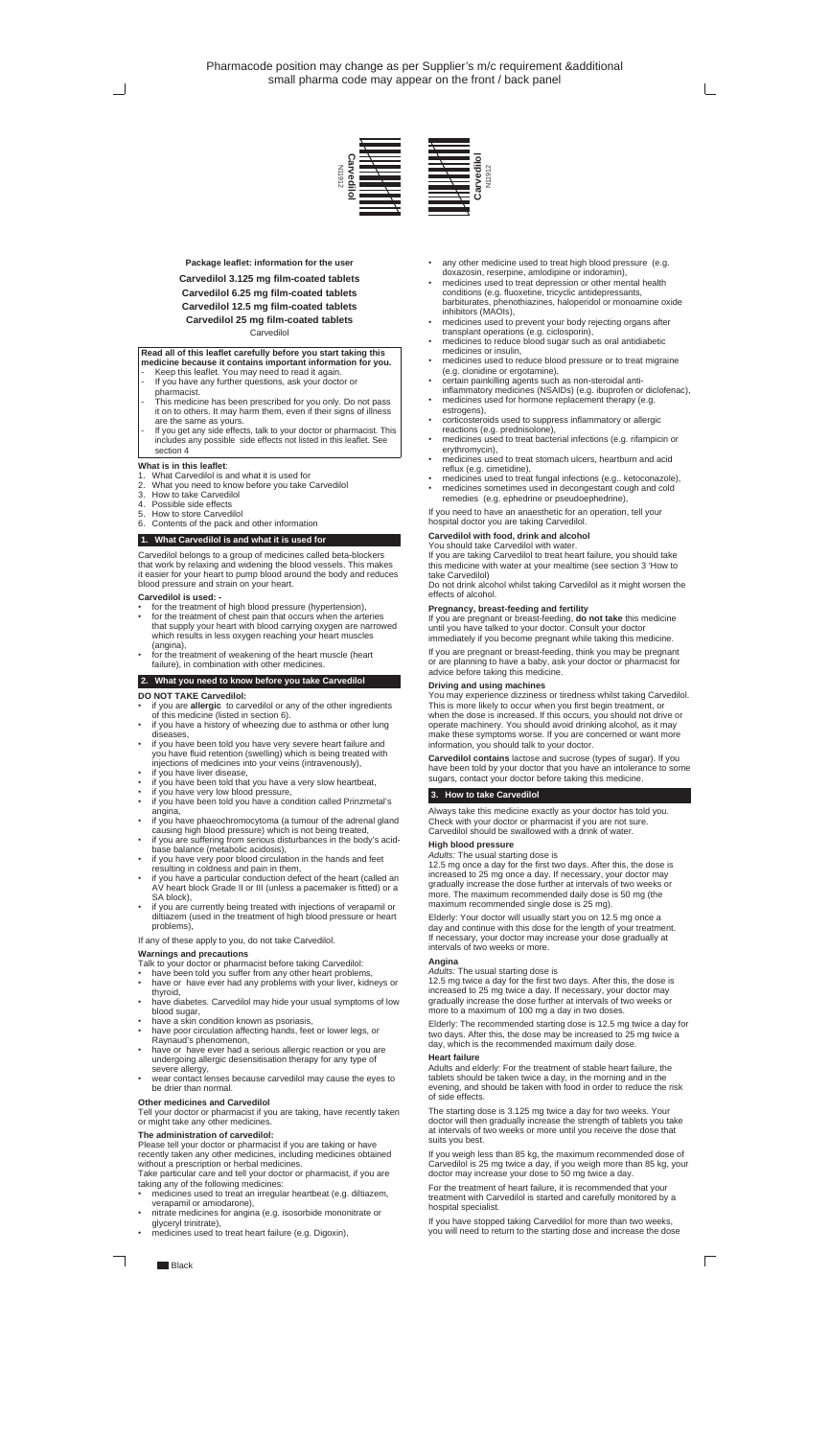#### **Read all of this leaflet carefully before you start taking this medicine because it contains important information for you.**

- Keep this leaflet. You may need to read it again.
- If you have any further questions, ask your doctor or pharmacist.
- This medicine has been prescribed for you only. Do not pass it on to others. It may harm them, even if their signs of illness are the same as yours.
- If you get any side effects, talk to your doctor or pharmacist. This includes any possible side effects not listed in this leaflet. See section 4

## **What is in this leaflet**:

- 1. What Carvedilol is and what it is used for
- What you need to know before you take Carvedilol
- 3. How to take Carvedilol
- 4. Possible side effects
- 5. How to store Carvedilol
- 6. Contents of the pack and other information

- for the treatment of high blood pressure (hypertension),
- for the treatment of chest pain that occurs when the arteries that supply your heart with blood carrying oxygen are narrowed which results in less oxygen reaching your heart muscles (angina),
- for the treatment of weakening of the heart muscle (heart failure), in combination with other medicines.

## **1. What Carvedilol is and what it is used for**

Carvedilol belongs to a group of medicines called beta-blockers that work by relaxing and widening the blood vessels. This makes it easier for your heart to pump blood around the body and reduces blood pressure and strain on your heart.

#### **Carvedilol is used: -**

- if you have a particular conduction defect of the heart (called an AV heart block Grade II or III (unless a pacemaker is fitted) or a SA block),
- if you are currently being treated with injections of verapamil or diltiazem (used in the treatment of high blood pressure or heart problems),

## **2. What you need to know before you take Carvedilol**

## **DO NOT TAKE Carvedilol:**

- have been told you suffer from any other heart problems,<br>• have or have ever had any problems with your liver, kidn
- have or have ever had any problems with your liver, kidneys or thyroid,
- have diabetes. Carvedilol may hide your usual symptoms of low blood sugar,
- have a skin condition known as psoriasis,
- have poor circulation affecting hands, feet or lower legs, or Raynaud's phenomenon,
- have or have ever had a serious allergic reaction or you are undergoing allergic desensitisation therapy for any type of severe allergy.
- wear contact lenses because carvedilol may cause the eyes to be drier than normal.
- if you are **allergic** to carvedilol or any of the other ingredients of this medicine (listed in section 6).
- if you have a history of wheezing due to asthma or other lung diseases,
- if you have been told you have very severe heart failure and you have fluid retention (swelling) which is being treated with injections of medicines into your veins (intravenously),
- if you have liver disease,
- if you have been told that you have a very slow heartbeat,
- if you have very low blood pressure,<br>• if you have been told you have a cor if you have been told you have a condition called Prinzmetal's angina,
- if you have phaeochromocytoma (a tumour of the adrenal gland causing high blood pressure) which is not being treated,
- if you are suffering from serious disturbances in the body's acidbase balance (metabolic acidosis),
- if you have very poor blood circulation in the hands and feet resulting in coldness and pain in them,
- 
- any other medicine used to treat high blood pressure (e.g. doxazosin, reserpine, amlodipine or indoramin),
- medicines used to treat depression or other mental health conditions (e.g. fluoxetine, tricyclic antidepressants, barbiturates, phenothiazines, haloperidol or monoamine oxide inhibitors (MAOIs),
- medicines used to prevent your body rejecting organs after transplant operations (e.g. ciclosporin),
- medicines to reduce blood sugar such as oral antidiabetic medicines or insulin,
- medicines used to reduce blood pressure or to treat migraine (e.g. clonidine or ergotamine),
- certain painkilling agents such as non-steroidal anti-
- inflammatory medicines (NSAIDs) (e.g. ibuprofen or diclofenac), medicines used for hormone replacement therapy (e.g.
- estrogens), corticosteroids used to suppress inflammatory or allergic reactions (e.g. prednisolone),
- medicines used to treat bacterial infections (e.g. rifampicin or erythromycin),
- medicines used to treat stomach ulcers, heartburn and acid reflux (e.g. cimetidine),
- medicines used to treat fungal infections (e.g.. ketoconazole),
- medicines sometimes used in decongestant cough and cold remedies (e.g. ephedrine or pseudoephedrine),

If any of these apply to you, do not take Carvedilol.

## **Warnings and precautions**

Talk to your doctor or pharmacist before taking Carvedilol:

Do not drink alcohol whilst taking Carvedilol as it might worsen the effects of alcohol.

## **Other medicines and Carvedilol**

Tell your doctor or pharmacist if you are taking, have recently taken or might take any other medicines.

## **The administration of carvedilol:**

Please tell your doctor or pharmacist if you are taking or have recently taken any other medicines, including medicines obtained without a prescription or herbal medicines.

Take particular care and tell your doctor or pharmacist, if you are taking any of the following medicines:

- medicines used to treat an irregular heartbeat (e.g. diltiazem, verapamil or amiodarone),
- nitrate medicines for angina (e.g. isosorbide mononitrate or glyceryl trinitrate),
- medicines used to treat heart failure (e.g. Digoxin),

If you need to have an anaesthetic for an operation, tell your hospital doctor you are taking Carvedilol.

## **Carvedilol with food, drink and alcohol**

You should take Carvedilol with water.

If you are taking Carvedilol to treat heart failure, you should take this medicine with water at your mealtime (see section 3 'How to take Carvedilol)

#### **Pregnancy, breast-feeding and fertility**

If you are pregnant or breast-feeding, **do not take** this medicine until you have talked to your doctor. Consult your doctor immediately if you become pregnant while taking this medicine.

If you are pregnant or breast-feeding, think you may be pregnant or are planning to have a baby, ask your doctor or pharmacist for advice before taking this medicine.

## **Driving and using machines**

You may experience dizziness or tiredness whilst taking Carvedilol. This is more likely to occur when you first begin treatment, or when the dose is increased. If this occurs, you should not drive or operate machinery. You should avoid drinking alcohol, as it may make these symptoms worse. If you are concerned or want more information, you should talk to your doctor.

**Carvedilol contains** lactose and sucrose (types of sugar). If you have been told by your doctor that you have an intolerance to some sugars, contact your doctor before taking this medicine.

#### **3. How to take Carvedilol**

Always take this medicine exactly as your doctor has told you. Check with your doctor or pharmacist if you are not sure. Carvedilol should be swallowed with a drink of water.

## **High blood pressure**

## *Adults:* The usual starting dose is

12.5 mg once a day for the first two days. After this, the dose is increased to 25 mg once a day. If necessary, your doctor may gradually increase the dose further at intervals of two weeks or more. The maximum recommended daily dose is 50 mg (the maximum recommended single dose is 25 mg).

Elderly: Your doctor will usually start you on 12.5 mg once a day and continue with this dose for the length of your treatment. If necessary, your doctor may increase your dose gradually at intervals of two weeks or more.

## **Angina**

*Adults:* The usual starting dose is

12.5 mg twice a day for the first two days. After this, the dose is increased to 25 mg twice a day. If necessary, your doctor may gradually increase the dose further at intervals of two weeks or more to a maximum of 100 mg a day in two doses.

Elderly: The recommended starting dose is 12.5 mg twice a day for two days. After this, the dose may be increased to 25 mg twice a day, which is the recommended maximum daily dose.

## **Heart failure**

Adults and elderly: For the treatment of stable heart failure, the tablets should be taken twice a day, in the morning and in the evening, and should be taken with food in order to reduce the risk of side effects.

The starting dose is 3.125 mg twice a day for two weeks. Your doctor will then gradually increase the strength of tablets you take at intervals of two weeks or more until you receive the dose that suits you best.

If you weigh less than 85 kg, the maximum recommended dose of Carvedilol is 25 mg twice a day, if you weigh more than 85 kg, your doctor may increase your dose to 50 mg twice a day.

For the treatment of heart failure, it is recommended that your treatment with Carvedilol is started and carefully monitored by a hospital specialist.

If you have stopped taking Carvedilol for more than two weeks, you will need to return to the starting dose and increase the dose

**Black** 

**Package leaflet: information for the user**

**Carvedilol 3.125 mg film-coated tablets**

**Carvedilol 6.25 mg film-coated tablets**

**Carvedilol 12.5 mg film-coated tablets**

**Carvedilol 25 mg film-coated tablets**

**Carvedilol**